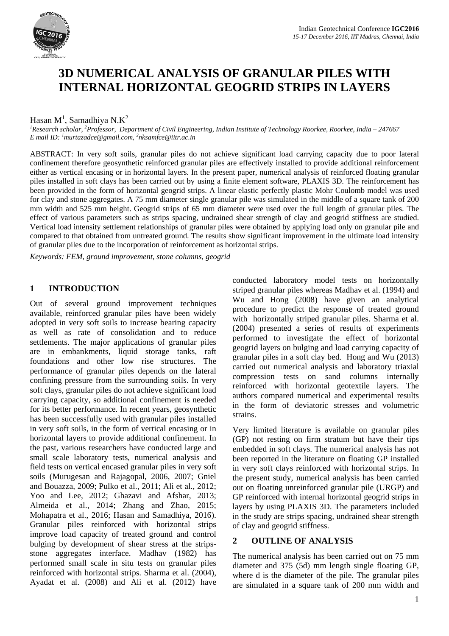

# **3D NUMERICAL ANALYSIS OF GRANULAR PILES WITH INTERNAL HORIZONTAL GEOGRID STRIPS IN LAYERS**

# Hasan M<sup>1</sup>, Samadhiya N.K<sup>2</sup>

*1 Research scholar, 2 Professor, Department of Civil Engineering, Indian Institute of Technology Roorkee, Roorkee, India – 247667 E mail ID: 1 [murtazadce@gmail.com,](mailto:1murtazadce@gmail.com) <sup>2</sup> nksamfce@iitr.ac.in*

ABSTRACT: In very soft soils, granular piles do not achieve significant load carrying capacity due to poor lateral confinement therefore geosynthetic reinforced granular piles are effectively installed to provide additional reinforcement either as vertical encasing or in horizontal layers. In the present paper, numerical analysis of reinforced floating granular piles installed in soft clays has been carried out by using a finite element software, PLAXIS 3D. The reinforcement has been provided in the form of horizontal geogrid strips. A linear elastic perfectly plastic Mohr Coulomb model was used for clay and stone aggregates. A 75 mm diameter single granular pile was simulated in the middle of a square tank of 200 mm width and 525 mm height. Geogrid strips of 65 mm diameter were used over the full length of granular piles. The effect of various parameters such as strips spacing, undrained shear strength of clay and geogrid stiffness are studied. Vertical load intensity settlement relationships of granular piles were obtained by applying load only on granular pile and compared to that obtained from untreated ground. The results show significant improvement in the ultimate load intensity of granular piles due to the incorporation of reinforcement as horizontal strips.

*Keywords: FEM, ground improvement, stone columns, geogrid*

## **1 INTRODUCTION**

Out of several ground improvement techniques available, reinforced granular piles have been widely adopted in very soft soils to increase bearing capacity as well as rate of consolidation and to reduce settlements. The major applications of granular piles are in embankments, liquid storage tanks, raft foundations and other low rise structures. The performance of granular piles depends on the lateral confining pressure from the surrounding soils. In very soft clays, granular piles do not achieve significant load carrying capacity, so additional confinement is needed for its better performance. In recent years, geosynthetic has been successfully used with granular piles installed in very soft soils, in the form of vertical encasing or in horizontal layers to provide additional confinement. In the past, various researchers have conducted large and small scale laboratory tests, numerical analysis and field tests on vertical encased granular piles in very soft soils (Murugesan and Rajagopal, 2006, 2007; Gniel and Bouazza, 2009; Pulko et al., 2011; Ali et al., 2012; Yoo and Lee, 2012; Ghazavi and Afshar, 2013; Almeida et al., 2014; Zhang and Zhao, 2015; Mohapatra et al., 2016; Hasan and Samadhiya, 2016). Granular piles reinforced with horizontal strips improve load capacity of treated ground and control bulging by development of shear stress at the stripsstone aggregates interface. Madhav (1982) has performed small scale in situ tests on granular piles reinforced with horizontal strips. Sharma et al. (2004), Ayadat et al. (2008) and Ali et al. (2012) have

conducted laboratory model tests on horizontally striped granular piles whereas Madhav et al. (1994) and Wu and Hong (2008) have given an analytical procedure to predict the response of treated ground with horizontally striped granular piles. Sharma et al. (2004) presented a series of results of experiments performed to investigate the effect of horizontal geogrid layers on bulging and load carrying capacity of granular piles in a soft clay bed. Hong and Wu (2013) carried out numerical analysis and laboratory triaxial compression tests on sand columns internally reinforced with horizontal geotextile layers. The authors compared numerical and experimental results in the form of deviatoric stresses and volumetric strains.

Very limited literature is available on granular piles (GP) not resting on firm stratum but have their tips embedded in soft clays. The numerical analysis has not been reported in the literature on floating GP installed in very soft clays reinforced with horizontal strips. In the present study, numerical analysis has been carried out on floating unreinforced granular pile (URGP) and GP reinforced with internal horizontal geogrid strips in layers by using PLAXIS 3D. The parameters included in the study are strips spacing, undrained shear strength of clay and geogrid stiffness.

### **2 OUTLINE OF ANALYSIS**

The numerical analysis has been carried out on 75 mm diameter and 375 (5d) mm length single floating GP, where d is the diameter of the pile. The granular piles are simulated in a square tank of 200 mm width and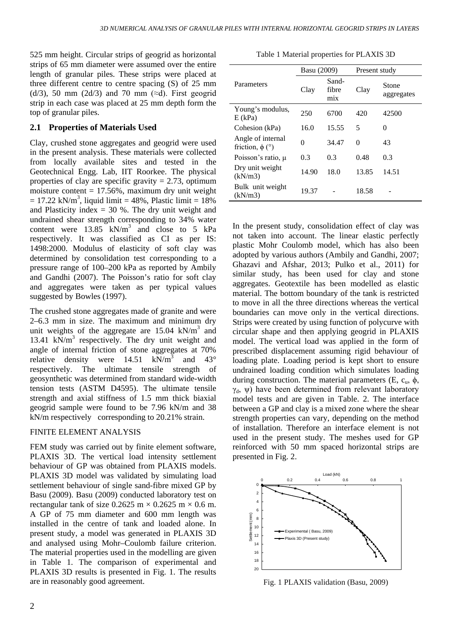525 mm height. Circular strips of geogrid as horizontal strips of 65 mm diameter were assumed over the entire length of granular piles. These strips were placed at three different centre to centre spacing (S) of 25 mm (d/3), 50 mm (2d/3) and 70 mm ( $\approx$ d). First geogrid strip in each case was placed at 25 mm depth form the top of granular piles.

#### **2.1 Properties of Materials Used**

Clay, crushed stone aggregates and geogrid were used in the present analysis. These materials were collected from locally available sites and tested in the Geotechnical Engg. Lab, IIT Roorkee. The physical properties of clay are specific gravity  $= 2.73$ , optimum moisture content  $= 17.56\%$ , maximum dry unit weight  $= 17.22$  kN/m<sup>3</sup>, liquid limit  $= 48\%$ , Plastic limit  $= 18\%$ and Plasticity index  $= 30$  %. The dry unit weight and undrained shear strength corresponding to 34% water content were  $13.85$  kN/m<sup>3</sup> and close to 5 kPa respectively. It was classified as CI as per IS: 1498:2000. Modulus of elasticity of soft clay was determined by consolidation test corresponding to a pressure range of 100–200 kPa as reported by Ambily and Gandhi (2007). The Poisson's ratio for soft clay and aggregates were taken as per typical values suggested by Bowles (1997).

The crushed stone aggregates made of granite and were 2–6.3 mm in size. The maximum and minimum dry unit weights of the aggregate are  $15.04$  kN/m<sup>3</sup> and 13.41 kN/ $m<sup>3</sup>$  respectively. The dry unit weight and angle of internal friction of stone aggregates at 70% relative density were  $14.51 \text{ kN/m}^3$  and  $43^\circ$ relative density were  $14.51$  kN/m<sup>3</sup> and respectively. The ultimate tensile strength of geosynthetic was determined from standard wide-width tension tests (ASTM D4595). The ultimate tensile strength and axial stiffness of 1.5 mm thick biaxial geogrid sample were found to be 7.96 kN/m and 38 kN/m respectively corresponding to 20.21% strain.

#### FINITE ELEMENT ANALYSIS

FEM study was carried out by finite element software, PLAXIS 3D. The vertical load intensity settlement behaviour of GP was obtained from PLAXIS models. PLAXIS 3D model was validated by simulating load settlement behaviour of single sand-fibre mixed GP by Basu (2009). Basu (2009) conducted laboratory test on rectangular tank of size  $0.2625 \text{ m} \times 0.2625 \text{ m} \times 0.6 \text{ m}$ . A GP of 75 mm diameter and 600 mm length was installed in the centre of tank and loaded alone. In present study, a model was generated in PLAXIS 3D and analysed using Mohr–Coulomb failure criterion. The material properties used in the modelling are given in Table 1. The comparison of experimental and PLAXIS 3D results is presented in Fig. 1. The results are in reasonably good agreement.

Table 1 Material properties for PLAXIS 3D

| Parameters                                          | Basu (2009) |                       | Present study |                     |
|-----------------------------------------------------|-------------|-----------------------|---------------|---------------------|
|                                                     | Clay        | Sand-<br>fibre<br>mix | Clay          | Stone<br>aggregates |
| Young's modulus,<br>$E$ (kPa)                       | 250         | 6700                  | 420           | 42500               |
| Cohesion (kPa)                                      | 16.0        | 15.55                 | 5             | 0                   |
| Angle of internal<br>friction, $\phi$ ( $\degree$ ) | 0           | 34.47                 | 0             | 43                  |
| Poisson's ratio, u                                  | 0.3         | 0.3                   | 0.48          | 0.3                 |
| Dry unit weight<br>(kN/m3)                          | 14.90       | 18.0                  | 13.85         | 14.51               |
| Bulk unit weight<br>(kN/m3)                         | 19.37       |                       | 18.58         |                     |

In the present study, consolidation effect of clay was not taken into account. The linear elastic perfectly plastic Mohr Coulomb model, which has also been adopted by various authors (Ambily and Gandhi, 2007; Ghazavi and Afshar, 2013; Pulko et al., 2011) for similar study, has been used for clay and stone aggregates. Geotextile has been modelled as elastic material. The bottom boundary of the tank is restricted to move in all the three directions whereas the vertical boundaries can move only in the vertical directions. Strips were created by using function of polycurve with circular shape and then applying geogrid in PLAXIS model. The vertical load was applied in the form of prescribed displacement assuming rigid behaviour of loading plate. Loading period is kept short to ensure undrained loading condition which simulates loading during construction. The material parameters (E,  $c_u$ ,  $\phi$ ,  $γ<sub>d</sub>$ , ψ) have been determined from relevant laboratory model tests and are given in Table. 2. The interface between a GP and clay is a mixed zone where the shear strength properties can vary, depending on the method of installation. Therefore an interface element is not used in the present study. The meshes used for GP reinforced with 50 mm spaced horizontal strips are presented in Fig. 2.



Fig. 1 PLAXIS validation (Basu, 2009)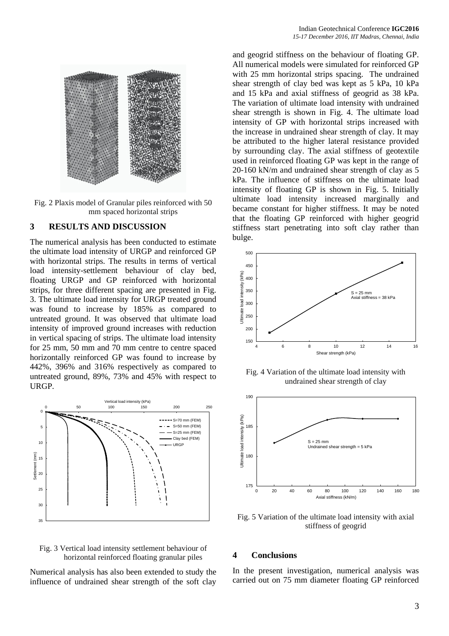

Fig. 2 Plaxis model of Granular piles reinforced with 50 mm spaced horizontal strips

#### **3 RESULTS AND DISCUSSION**

The numerical analysis has been conducted to estimate the ultimate load intensity of URGP and reinforced GP with horizontal strips. The results in terms of vertical load intensity-settlement behaviour of clay bed, floating URGP and GP reinforced with horizontal strips, for three different spacing are presented in Fig. 3. The ultimate load intensity for URGP treated ground was found to increase by 185% as compared to untreated ground. It was observed that ultimate load intensity of improved ground increases with reduction in vertical spacing of strips. The ultimate load intensity for 25 mm, 50 mm and 70 mm centre to centre spaced horizontally reinforced GP was found to increase by 442%, 396% and 316% respectively as compared to untreated ground, 89%, 73% and 45% with respect to URGP.





Numerical analysis has also been extended to study the influence of undrained shear strength of the soft clay and geogrid stiffness on the behaviour of floating GP. All numerical models were simulated for reinforced GP with 25 mm horizontal strips spacing. The undrained shear strength of clay bed was kept as 5 kPa, 10 kPa and 15 kPa and axial stiffness of geogrid as 38 kPa. The variation of ultimate load intensity with undrained shear strength is shown in Fig. 4. The ultimate load intensity of GP with horizontal strips increased with the increase in undrained shear strength of clay. It may be attributed to the higher lateral resistance provided by surrounding clay. The axial stiffness of geotextile used in reinforced floating GP was kept in the range of 20-160 kN/m and undrained shear strength of clay as 5 kPa. The influence of stiffness on the ultimate load intensity of floating GP is shown in Fig. 5. Initially ultimate load intensity increased marginally and became constant for higher stiffness. It may be noted that the floating GP reinforced with higher geogrid stiffness start penetrating into soft clay rather than bulge.



Fig. 4 Variation of the ultimate load intensity with undrained shear strength of clay



Fig. 5 Variation of the ultimate load intensity with axial stiffness of geogrid

#### **4 Conclusions**

In the present investigation, numerical analysis was carried out on 75 mm diameter floating GP reinforced